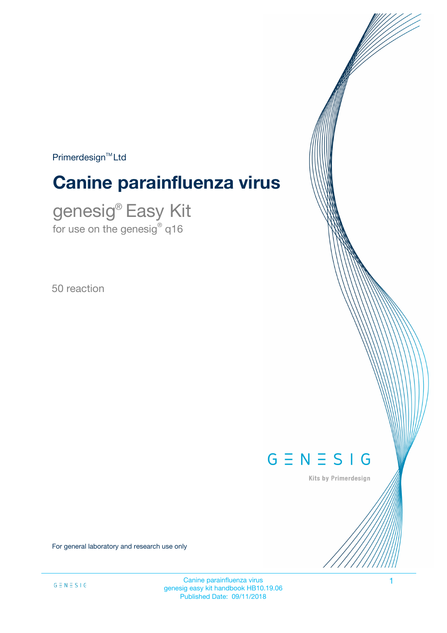$Primerdesign<sup>™</sup>Ltd$ 

# **Canine parainfluenza virus**

genesig® Easy Kit for use on the genesig $^\circ$  q16

50 reaction



Kits by Primerdesign

For general laboratory and research use only

Canine parainfluenza virus 1 genesig easy kit handbook HB10.19.06 Published Date: 09/11/2018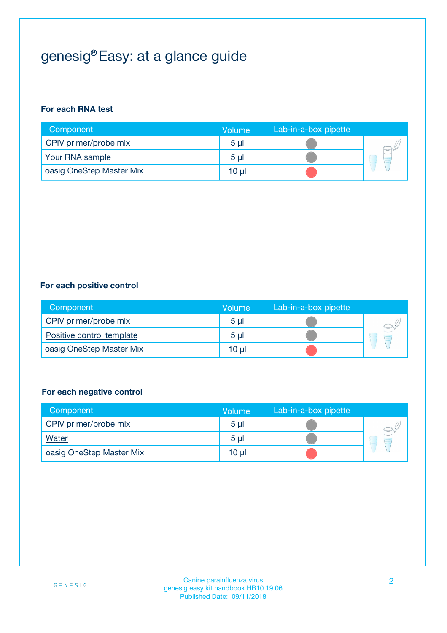# genesig® Easy: at a glance guide

#### **For each RNA test**

| Component                | <b>Volume</b>  | Lab-in-a-box pipette |  |
|--------------------------|----------------|----------------------|--|
| CPIV primer/probe mix    | 5 <sub>µ</sub> |                      |  |
| Your RNA sample          | 5 <sub>µ</sub> |                      |  |
| oasig OneStep Master Mix | 10 µl          |                      |  |

#### **For each positive control**

| Component                 | Volume         | Lab-in-a-box pipette |  |
|---------------------------|----------------|----------------------|--|
| CPIV primer/probe mix     | 5 <sub>µ</sub> |                      |  |
| Positive control template | 5 <sub>µ</sub> |                      |  |
| oasig OneStep Master Mix  | 10 µl          |                      |  |

#### **For each negative control**

| Component                | Volume         | Lab-in-a-box pipette |   |
|--------------------------|----------------|----------------------|---|
| CPIV primer/probe mix    | 5 <sub>µ</sub> |                      |   |
| Water                    | 5 <sub>µ</sub> |                      | - |
| oasig OneStep Master Mix | 10 µl          |                      |   |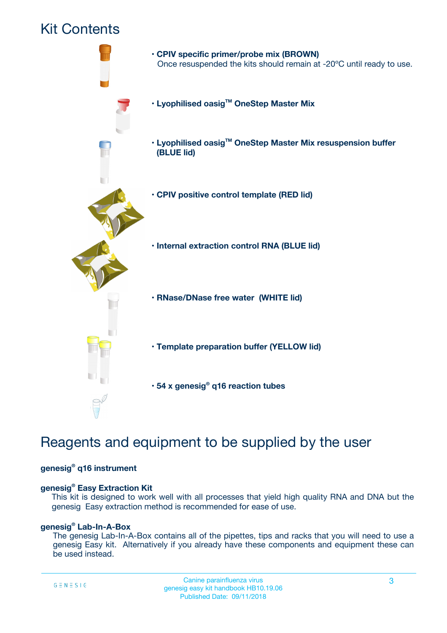## Kit Contents



## Reagents and equipment to be supplied by the user

#### **genesig® q16 instrument**

#### **genesig® Easy Extraction Kit**

This kit is designed to work well with all processes that yield high quality RNA and DNA but the genesig Easy extraction method is recommended for ease of use.

#### **genesig® Lab-In-A-Box**

The genesig Lab-In-A-Box contains all of the pipettes, tips and racks that you will need to use a genesig Easy kit. Alternatively if you already have these components and equipment these can be used instead.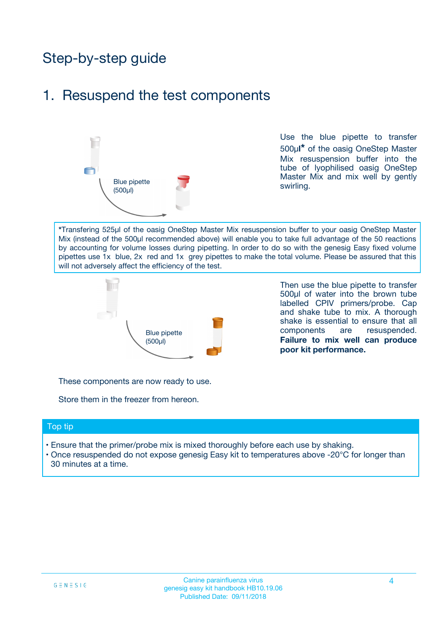## Step-by-step guide

### 1. Resuspend the test components



Use the blue pipette to transfer 500µ**l\*** of the oasig OneStep Master Mix resuspension buffer into the tube of lyophilised oasig OneStep Master Mix and mix well by gently swirling.

**\***Transfering 525µl of the oasig OneStep Master Mix resuspension buffer to your oasig OneStep Master Mix (instead of the 500µl recommended above) will enable you to take full advantage of the 50 reactions by accounting for volume losses during pipetting. In order to do so with the genesig Easy fixed volume pipettes use 1x blue, 2x red and 1x grey pipettes to make the total volume. Please be assured that this will not adversely affect the efficiency of the test.



Then use the blue pipette to transfer 500µl of water into the brown tube labelled CPIV primers/probe. Cap and shake tube to mix. A thorough shake is essential to ensure that all components are resuspended. **Failure to mix well can produce poor kit performance.**

These components are now ready to use.

Store them in the freezer from hereon.

#### Top tip

- Ensure that the primer/probe mix is mixed thoroughly before each use by shaking.
- Once resuspended do not expose genesig Easy kit to temperatures above -20°C for longer than 30 minutes at a time.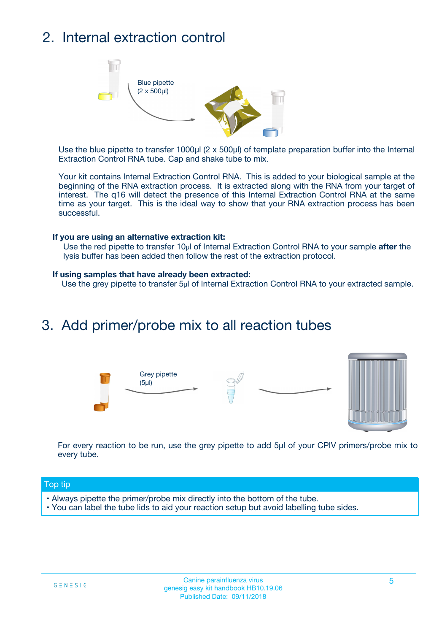## 2. Internal extraction control



Use the blue pipette to transfer 1000µl (2 x 500µl) of template preparation buffer into the Internal Extraction Control RNA tube. Cap and shake tube to mix.

Your kit contains Internal Extraction Control RNA. This is added to your biological sample at the beginning of the RNA extraction process. It is extracted along with the RNA from your target of interest. The q16 will detect the presence of this Internal Extraction Control RNA at the same time as your target. This is the ideal way to show that your RNA extraction process has been successful.

#### **If you are using an alternative extraction kit:**

Use the red pipette to transfer 10µl of Internal Extraction Control RNA to your sample **after** the lysis buffer has been added then follow the rest of the extraction protocol.

#### **If using samples that have already been extracted:**

Use the grey pipette to transfer 5µl of Internal Extraction Control RNA to your extracted sample.

### 3. Add primer/probe mix to all reaction tubes





For every reaction to be run, use the grey pipette to add 5µl of your CPIV primers/probe mix to every tube.

#### Top tip

- Always pipette the primer/probe mix directly into the bottom of the tube.
- You can label the tube lids to aid your reaction setup but avoid labelling tube sides.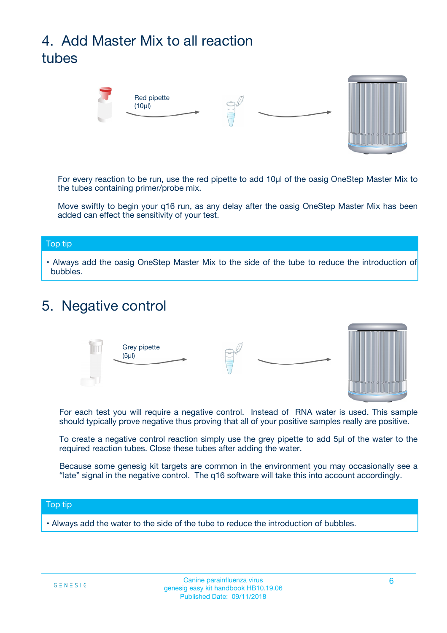# 4. Add Master Mix to all reaction tubes



For every reaction to be run, use the red pipette to add 10µl of the oasig OneStep Master Mix to the tubes containing primer/probe mix.

Move swiftly to begin your q16 run, as any delay after the oasig OneStep Master Mix has been added can effect the sensitivity of your test.

#### Top tip

**•** Always add the oasig OneStep Master Mix to the side of the tube to reduce the introduction of bubbles.

### 5. Negative control



For each test you will require a negative control. Instead of RNA water is used. This sample should typically prove negative thus proving that all of your positive samples really are positive.

To create a negative control reaction simply use the grey pipette to add 5µl of the water to the required reaction tubes. Close these tubes after adding the water.

Because some genesig kit targets are common in the environment you may occasionally see a "late" signal in the negative control. The q16 software will take this into account accordingly.

#### Top tip

**•** Always add the water to the side of the tube to reduce the introduction of bubbles.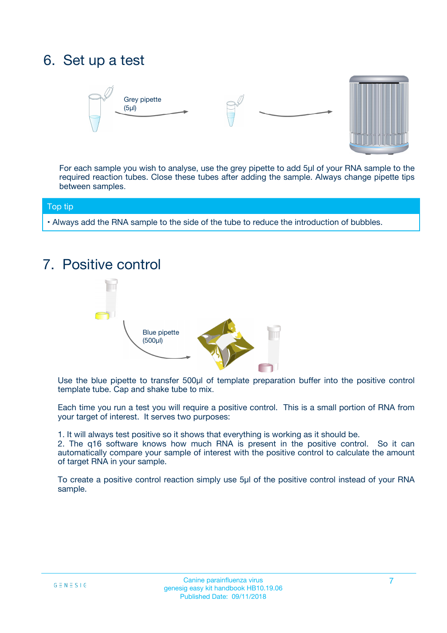## 6. Set up a test





For each sample you wish to analyse, use the grey pipette to add 5µl of your RNA sample to the required reaction tubes. Close these tubes after adding the sample. Always change pipette tips between samples.

#### Top tip

**•** Always add the RNA sample to the side of the tube to reduce the introduction of bubbles.

## 7. Positive control



Use the blue pipette to transfer 500µl of template preparation buffer into the positive control template tube. Cap and shake tube to mix.

Each time you run a test you will require a positive control. This is a small portion of RNA from your target of interest. It serves two purposes:

1. It will always test positive so it shows that everything is working as it should be.

2. The q16 software knows how much RNA is present in the positive control. So it can automatically compare your sample of interest with the positive control to calculate the amount of target RNA in your sample.

To create a positive control reaction simply use 5µl of the positive control instead of your RNA sample.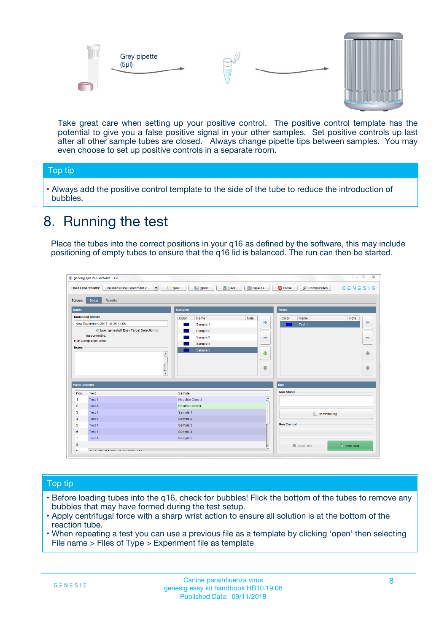



Take great care when setting up your positive control. The positive control template has the potential to give you a false positive signal in your other samples. Set positive controls up last after all other sample tubes are closed. Always change pipette tips between samples. You may even choose to set up positive controls in a separate room.

#### Top tip

**•** Always add the positive control template to the side of the tube to reduce the introduction of bubbles.

### 8. Running the test

Place the tubes into the correct positions in your q16 as defined by the software, this may include positioning of empty tubes to ensure that the q16 lid is balanced. The run can then be started.

|                      | genesig q16 PCR software - 1.2                                                          |                                  | $\Box$                                                                       |
|----------------------|-----------------------------------------------------------------------------------------|----------------------------------|------------------------------------------------------------------------------|
|                      | $N$ ew<br><b>Open Experiments:</b><br>Unsaved (New Experiment 2<br>$\blacktriangledown$ | <b>E</b> Open<br>Save<br>Save As | $G \equiv N \equiv S \mid G$<br><b>C</b> Close<br><b>&amp; Configuration</b> |
| <b>Stages:</b>       | Setup<br><b>Results</b>                                                                 |                                  |                                                                              |
| <b>Notes</b>         |                                                                                         | <b>Samples</b>                   | <b>Tests</b>                                                                 |
|                      | <b>Name and Details</b>                                                                 | Color<br>Note<br>Name            | Color<br>Note<br>Name                                                        |
|                      | New Experiment 2017-10-26 11:06                                                         | Sample 1                         | على<br>4<br>Test 1                                                           |
|                      | Kit type: genesig® Easy Target Detection kit                                            | Sample 2                         |                                                                              |
|                      | Instrument Id.:                                                                         | Sample 3                         | $\equiv$<br>$\equiv$                                                         |
|                      | <b>Run Completion Time:</b>                                                             | Sample 4                         |                                                                              |
| <b>Notes</b>         | $\blacktriangle$                                                                        | Sample 5                         | 企<br>40                                                                      |
|                      | $\overline{\mathbf{v}}$                                                                 |                                  | ÷<br>⊕                                                                       |
| <b>Well Contents</b> |                                                                                         |                                  | Run                                                                          |
| Pos.                 | Test                                                                                    | Sample                           | <b>Run Status</b>                                                            |
| -1                   | Test 1                                                                                  | Negative Control                 | $\blacktriangle$                                                             |
| $\overline{2}$       | Test 1                                                                                  | Positive Control                 |                                                                              |
| 3                    | Test 1                                                                                  | Sample 1                         | Show full log                                                                |
| $\overline{4}$       | Test 1                                                                                  | Sample 2                         |                                                                              |
| 5                    | Test 1                                                                                  | Sample 3                         | <b>Run Control</b>                                                           |
| 6                    | Test 1                                                                                  | Sample 4                         |                                                                              |
| $\overline{7}$       | Test 1                                                                                  | Sample 5                         |                                                                              |
| 8                    |                                                                                         |                                  | $\triangleright$ Start Run<br>■ Abort Run                                    |
| ◡                    | <b><i>ADD FURTHER COLLANDELIA</i></b>                                                   |                                  | $\overline{\mathbf{v}}$                                                      |

#### Top tip

- Before loading tubes into the q16, check for bubbles! Flick the bottom of the tubes to remove any bubbles that may have formed during the test setup.
- Apply centrifugal force with a sharp wrist action to ensure all solution is at the bottom of the reaction tube.
- When repeating a test you can use a previous file as a template by clicking 'open' then selecting File name > Files of Type > Experiment file as template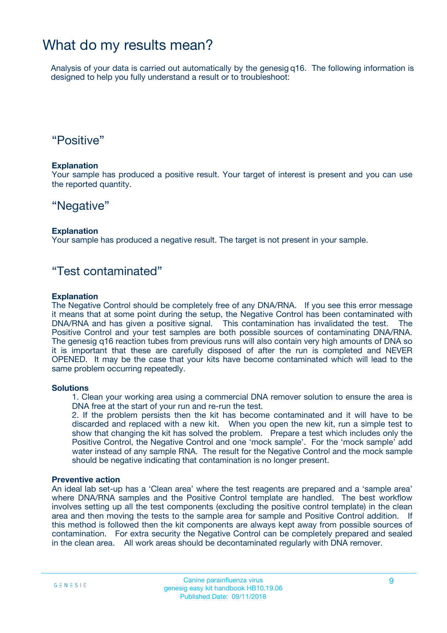### What do my results mean?

Analysis of your data is carried out automatically by the genesig q16. The following information is designed to help you fully understand a result or to troubleshoot:

### "Positive"

#### **Explanation**

Your sample has produced a positive result. Your target of interest is present and you can use the reported quantity.

### "Negative"

#### **Explanation**

Your sample has produced a negative result. The target is not present in your sample.

### "Test contaminated"

#### **Explanation**

The Negative Control should be completely free of any DNA/RNA. If you see this error message it means that at some point during the setup, the Negative Control has been contaminated with DNA/RNA and has given a positive signal. This contamination has invalidated the test. The Positive Control and your test samples are both possible sources of contaminating DNA/RNA. The genesig q16 reaction tubes from previous runs will also contain very high amounts of DNA so it is important that these are carefully disposed of after the run is completed and NEVER OPENED. It may be the case that your kits have become contaminated which will lead to the same problem occurring repeatedly.

#### **Solutions**

1. Clean your working area using a commercial DNA remover solution to ensure the area is DNA free at the start of your run and re-run the test.

2. If the problem persists then the kit has become contaminated and it will have to be discarded and replaced with a new kit. When you open the new kit, run a simple test to show that changing the kit has solved the problem. Prepare a test which includes only the Positive Control, the Negative Control and one 'mock sample'. For the 'mock sample' add water instead of any sample RNA. The result for the Negative Control and the mock sample should be negative indicating that contamination is no longer present.

#### **Preventive action**

An ideal lab set-up has a 'Clean area' where the test reagents are prepared and a 'sample area' where DNA/RNA samples and the Positive Control template are handled. The best workflow involves setting up all the test components (excluding the positive control template) in the clean area and then moving the tests to the sample area for sample and Positive Control addition. If this method is followed then the kit components are always kept away from possible sources of contamination. For extra security the Negative Control can be completely prepared and sealed in the clean area. All work areas should be decontaminated regularly with DNA remover.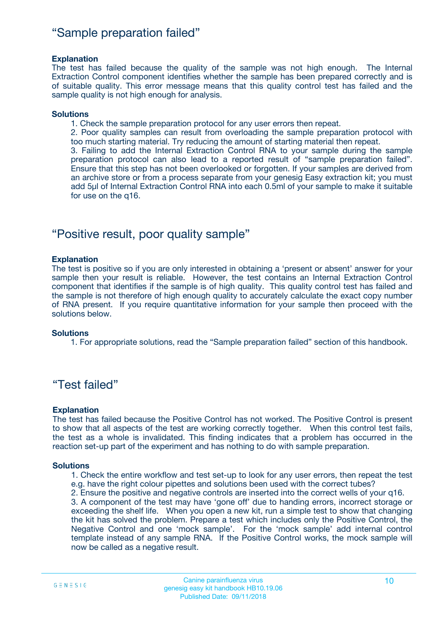### "Sample preparation failed"

#### **Explanation**

The test has failed because the quality of the sample was not high enough. The Internal Extraction Control component identifies whether the sample has been prepared correctly and is of suitable quality. This error message means that this quality control test has failed and the sample quality is not high enough for analysis.

#### **Solutions**

1. Check the sample preparation protocol for any user errors then repeat.

2. Poor quality samples can result from overloading the sample preparation protocol with too much starting material. Try reducing the amount of starting material then repeat.

3. Failing to add the Internal Extraction Control RNA to your sample during the sample preparation protocol can also lead to a reported result of "sample preparation failed". Ensure that this step has not been overlooked or forgotten. If your samples are derived from an archive store or from a process separate from your genesig Easy extraction kit; you must add 5µl of Internal Extraction Control RNA into each 0.5ml of your sample to make it suitable for use on the q16.

### "Positive result, poor quality sample"

#### **Explanation**

The test is positive so if you are only interested in obtaining a 'present or absent' answer for your sample then your result is reliable. However, the test contains an Internal Extraction Control component that identifies if the sample is of high quality. This quality control test has failed and the sample is not therefore of high enough quality to accurately calculate the exact copy number of RNA present. If you require quantitative information for your sample then proceed with the solutions below.

#### **Solutions**

1. For appropriate solutions, read the "Sample preparation failed" section of this handbook.

### "Test failed"

#### **Explanation**

The test has failed because the Positive Control has not worked. The Positive Control is present to show that all aspects of the test are working correctly together. When this control test fails, the test as a whole is invalidated. This finding indicates that a problem has occurred in the reaction set-up part of the experiment and has nothing to do with sample preparation.

#### **Solutions**

- 1. Check the entire workflow and test set-up to look for any user errors, then repeat the test e.g. have the right colour pipettes and solutions been used with the correct tubes?
- 2. Ensure the positive and negative controls are inserted into the correct wells of your q16.

3. A component of the test may have 'gone off' due to handing errors, incorrect storage or exceeding the shelf life. When you open a new kit, run a simple test to show that changing the kit has solved the problem. Prepare a test which includes only the Positive Control, the Negative Control and one 'mock sample'. For the 'mock sample' add internal control template instead of any sample RNA. If the Positive Control works, the mock sample will now be called as a negative result.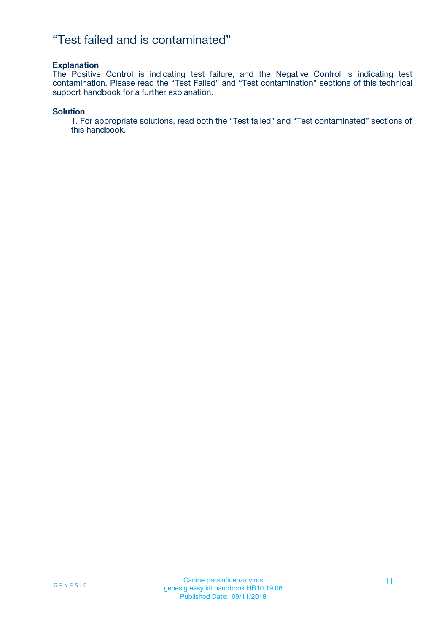### "Test failed and is contaminated"

#### **Explanation**

The Positive Control is indicating test failure, and the Negative Control is indicating test contamination. Please read the "Test Failed" and "Test contamination" sections of this technical support handbook for a further explanation.

#### **Solution**

1. For appropriate solutions, read both the "Test failed" and "Test contaminated" sections of this handbook.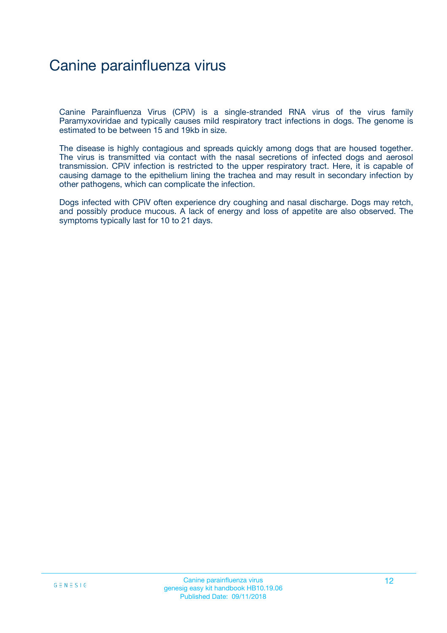## Canine parainfluenza virus

Canine Parainfluenza Virus (CPiV) is a single-stranded RNA virus of the virus family Paramyxoviridae and typically causes mild respiratory tract infections in dogs. The genome is estimated to be between 15 and 19kb in size.

The disease is highly contagious and spreads quickly among dogs that are housed together. The virus is transmitted via contact with the nasal secretions of infected dogs and aerosol transmission. CPiV infection is restricted to the upper respiratory tract. Here, it is capable of causing damage to the epithelium lining the trachea and may result in secondary infection by other pathogens, which can complicate the infection.

Dogs infected with CPiV often experience dry coughing and nasal discharge. Dogs may retch, and possibly produce mucous. A lack of energy and loss of appetite are also observed. The symptoms typically last for 10 to 21 days.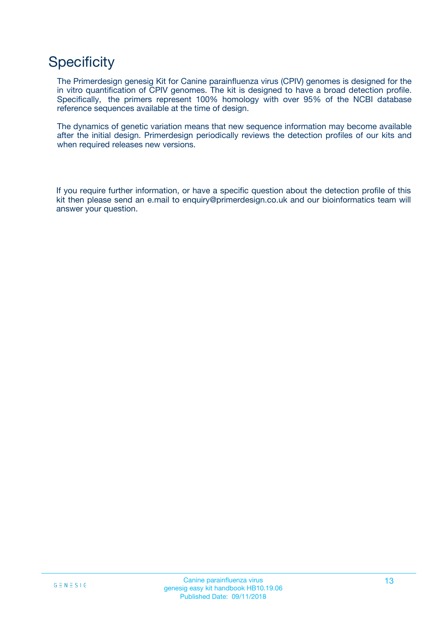## **Specificity**

The Primerdesign genesig Kit for Canine parainfluenza virus (CPIV) genomes is designed for the in vitro quantification of CPIV genomes. The kit is designed to have a broad detection profile. Specifically, the primers represent 100% homology with over 95% of the NCBI database reference sequences available at the time of design.

The dynamics of genetic variation means that new sequence information may become available after the initial design. Primerdesign periodically reviews the detection profiles of our kits and when required releases new versions.

If you require further information, or have a specific question about the detection profile of this kit then please send an e.mail to enquiry@primerdesign.co.uk and our bioinformatics team will answer your question.